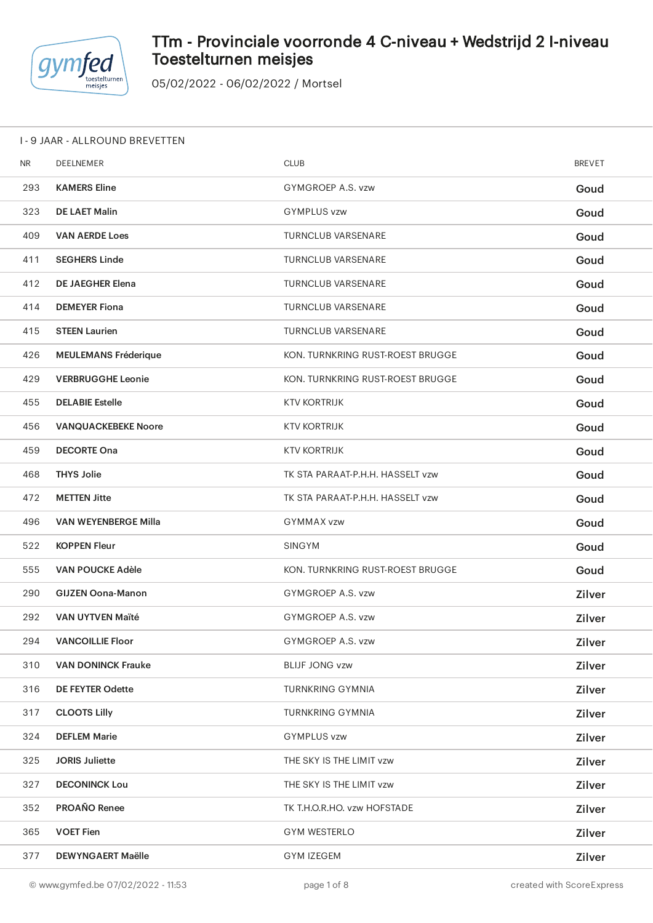

## TTm - Provinciale voorronde 4 C-niveau + Wedstrijd 2 I-niveau Toestelturnen meisjes

| 1 - 9 JAAR - ALLROUND BREVETTEN |  |
|---------------------------------|--|
|---------------------------------|--|

| <b>NR</b> | DEELNEMER                   | <b>CLUB</b>                      | <b>BREVET</b> |
|-----------|-----------------------------|----------------------------------|---------------|
| 293       | <b>KAMERS Eline</b>         | GYMGROEP A.S. vzw                | Goud          |
| 323       | <b>DE LAET Malin</b>        | <b>GYMPLUS vzw</b>               | Goud          |
| 409       | <b>VAN AERDE Loes</b>       | <b>TURNCLUB VARSENARE</b>        | Goud          |
| 411       | <b>SEGHERS Linde</b>        | <b>TURNCLUB VARSENARE</b>        | Goud          |
| 412       | <b>DE JAEGHER Elena</b>     | <b>TURNCLUB VARSENARE</b>        | Goud          |
| 414       | <b>DEMEYER Fiona</b>        | <b>TURNCLUB VARSENARE</b>        | Goud          |
| 415       | <b>STEEN Laurien</b>        | <b>TURNCLUB VARSENARE</b>        | Goud          |
| 426       | <b>MEULEMANS Fréderique</b> | KON. TURNKRING RUST-ROEST BRUGGE | Goud          |
| 429       | <b>VERBRUGGHE Leonie</b>    | KON. TURNKRING RUST-ROEST BRUGGE | Goud          |
| 455       | <b>DELABIE Estelle</b>      | <b>KTV KORTRIJK</b>              | Goud          |
| 456       | <b>VANQUACKEBEKE Noore</b>  | KTV KORTRIJK                     | Goud          |
| 459       | <b>DECORTE Ona</b>          | <b>KTV KORTRIJK</b>              | Goud          |
| 468       | <b>THYS Jolie</b>           | TK STA PARAAT-P.H.H. HASSELT vzw | Goud          |
| 472       | <b>METTEN Jitte</b>         | TK STA PARAAT-P.H.H. HASSELT vzw | Goud          |
| 496       | <b>VAN WEYENBERGE Milla</b> | <b>GYMMAX vzw</b>                | Goud          |
| 522       | <b>KOPPEN Fleur</b>         | SINGYM                           | Goud          |
| 555       | <b>VAN POUCKE Adèle</b>     | KON. TURNKRING RUST-ROEST BRUGGE | Goud          |
| 290       | <b>GIJZEN Oona-Manon</b>    | GYMGROEP A.S. vzw                | Zilver        |
| 292       | <b>VAN UYTVEN Maïté</b>     | GYMGROEP A.S. vzw                | Zilver        |
| 294       | <b>VANCOILLIE Floor</b>     | GYMGROEP A.S. vzw                | <b>Zilver</b> |
| 310       | <b>VAN DONINCK Frauke</b>   | <b>BLIJF JONG vzw</b>            | Zilver        |
| 316       | <b>DE FEYTER Odette</b>     | <b>TURNKRING GYMNIA</b>          | Zilver        |
| 317       | <b>CLOOTS Lilly</b>         | <b>TURNKRING GYMNIA</b>          | Zilver        |
| 324       | <b>DEFLEM Marie</b>         | <b>GYMPLUS vzw</b>               | Zilver        |
| 325       | <b>JORIS Juliette</b>       | THE SKY IS THE LIMIT vzw         | Zilver        |
| 327       | <b>DECONINCK Lou</b>        | THE SKY IS THE LIMIT vzw         | Zilver        |
| 352       | PROAÑO Renee                | TK T.H.O.R.HO. vzw HOFSTADE      | Zilver        |
| 365       | <b>VOET Fien</b>            | <b>GYM WESTERLO</b>              | Zilver        |
| 377       | <b>DEWYNGAERT Maëlle</b>    | <b>GYM IZEGEM</b>                | Zilver        |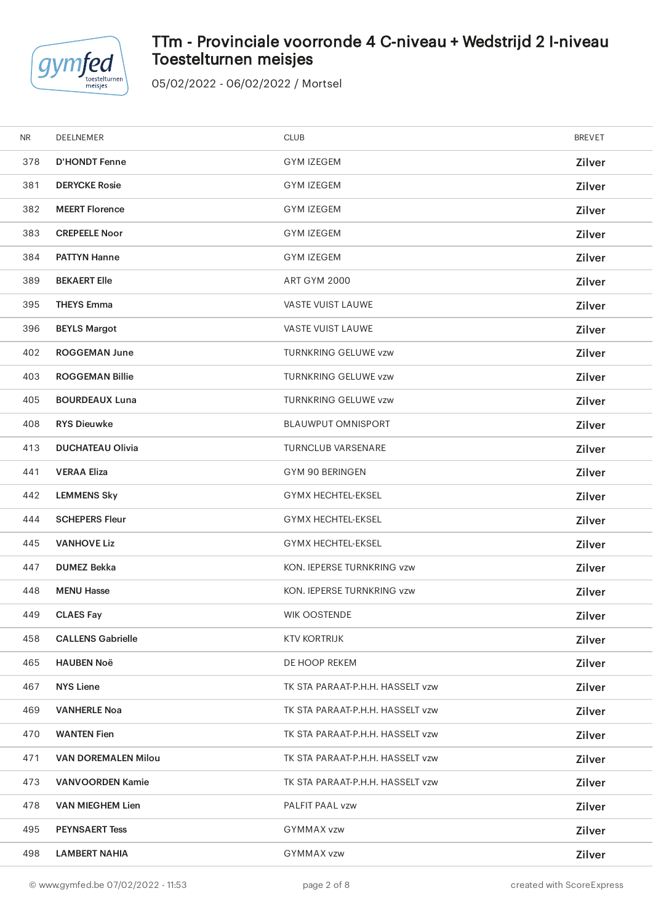

# TTm - Provinciale voorronde 4 C-niveau + Wedstrijd 2 I-niveau Toestelturnen meisjes

| <b>NR</b> | DEELNEMER                  | <b>CLUB</b>                      | <b>BREVET</b> |
|-----------|----------------------------|----------------------------------|---------------|
| 378       | <b>D'HONDT Fenne</b>       | <b>GYM IZEGEM</b>                | Zilver        |
| 381       | <b>DERYCKE Rosie</b>       | <b>GYM IZEGEM</b>                | Zilver        |
| 382       | <b>MEERT Florence</b>      | <b>GYM IZEGEM</b>                | Zilver        |
| 383       | <b>CREPEELE Noor</b>       | <b>GYM IZEGEM</b>                | Zilver        |
| 384       | <b>PATTYN Hanne</b>        | <b>GYM IZEGEM</b>                | Zilver        |
| 389       | <b>BEKAERT Elle</b>        | <b>ART GYM 2000</b>              | <b>Zilver</b> |
| 395       | <b>THEYS Emma</b>          | VASTE VUIST LAUWE                | Zilver        |
| 396       | <b>BEYLS Margot</b>        | VASTE VUIST LAUWE                | Zilver        |
| 402       | <b>ROGGEMAN June</b>       | <b>TURNKRING GELUWE vzw</b>      | <b>Zilver</b> |
| 403       | <b>ROGGEMAN Billie</b>     | <b>TURNKRING GELUWE vzw</b>      | <b>Zilver</b> |
| 405       | <b>BOURDEAUX Luna</b>      | <b>TURNKRING GELUWE vzw</b>      | Zilver        |
| 408       | <b>RYS Dieuwke</b>         | <b>BLAUWPUT OMNISPORT</b>        | Zilver        |
| 413       | <b>DUCHATEAU Olivia</b>    | <b>TURNCLUB VARSENARE</b>        | <b>Zilver</b> |
| 441       | <b>VERAA Eliza</b>         | GYM 90 BERINGEN                  | Zilver        |
| 442       | <b>LEMMENS Sky</b>         | <b>GYMX HECHTEL-EKSEL</b>        | Zilver        |
| 444       | <b>SCHEPERS Fleur</b>      | <b>GYMX HECHTEL-EKSEL</b>        | Zilver        |
| 445       | <b>VANHOVE Liz</b>         | <b>GYMX HECHTEL-EKSEL</b>        | Zilver        |
| 447       | <b>DUMEZ Bekka</b>         | KON. IEPERSE TURNKRING vzw       | Zilver        |
| 448       | <b>MENU Hasse</b>          | KON. IEPERSE TURNKRING vzw       | Zilver        |
| 449       | <b>CLAES Fay</b>           | <b>WIK OOSTENDE</b>              | Zilver        |
| 458       | <b>CALLENS Gabrielle</b>   | <b>KTV KORTRIJK</b>              | Zilver        |
| 465       | <b>HAUBEN Noë</b>          | DE HOOP REKEM                    | Zilver        |
| 467       | <b>NYS Liene</b>           | TK STA PARAAT-P.H.H. HASSELT vzw | Zilver        |
| 469       | <b>VANHERLE Noa</b>        | TK STA PARAAT-P.H.H. HASSELT vzw | Zilver        |
| 470       | <b>WANTEN Fien</b>         | TK STA PARAAT-P.H.H. HASSELT vzw | Zilver        |
| 471       | <b>VAN DOREMALEN Milou</b> | TK STA PARAAT-P.H.H. HASSELT vzw | Zilver        |
| 473       | <b>VANVOORDEN Kamie</b>    | TK STA PARAAT-P.H.H. HASSELT vzw | Zilver        |
| 478       | <b>VAN MIEGHEM Lien</b>    | PALFIT PAAL vzw                  | Zilver        |
| 495       | <b>PEYNSAERT Tess</b>      | GYMMAX vzw                       | Zilver        |
| 498       | <b>LAMBERT NAHIA</b>       | <b>GYMMAX vzw</b>                | Zilver        |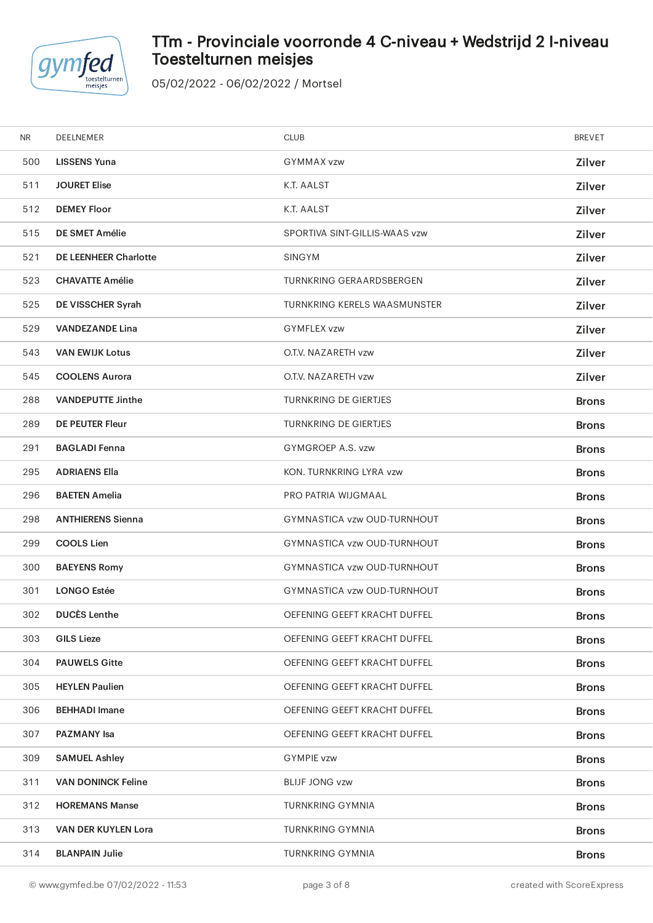

# TTm - Provinciale voorronde 4 C-niveau + Wedstrijd 2 I-niveau Toestelturnen meisjes

| <b>NR</b> | DEELNEMER                    | <b>CLUB</b>                   | <b>BREVET</b> |
|-----------|------------------------------|-------------------------------|---------------|
| 500       | <b>LISSENS Yuna</b>          | <b>GYMMAX vzw</b>             | Zilver        |
| 511       | <b>JOURET Elise</b>          | K.T. AALST                    | Zilver        |
| 512       | <b>DEMEY Floor</b>           | K.T. AALST                    | Zilver        |
| 515       | DE SMET Amélie               | SPORTIVA SINT-GILLIS-WAAS vzw | Zilver        |
| 521       | <b>DE LEENHEER Charlotte</b> | <b>SINGYM</b>                 | Zilver        |
| 523       | <b>CHAVATTE Amélie</b>       | TURNKRING GERAARDSBERGEN      | Zilver        |
| 525       | DE VISSCHER Syrah            | TURNKRING KERELS WAASMUNSTER  | Zilver        |
| 529       | <b>VANDEZANDE Lina</b>       | <b>GYMFLEX vzw</b>            | Zilver        |
| 543       | <b>VAN EWIJK Lotus</b>       | O.T.V. NAZARETH vzw           | Zilver        |
| 545       | <b>COOLENS Aurora</b>        | O.T.V. NAZARETH vzw           | Zilver        |
| 288       | <b>VANDEPUTTE Jinthe</b>     | <b>TURNKRING DE GIERTJES</b>  | <b>Brons</b>  |
| 289       | <b>DE PEUTER Fleur</b>       | <b>TURNKRING DE GIERTJES</b>  | <b>Brons</b>  |
| 291       | <b>BAGLADI Fenna</b>         | GYMGROEP A.S. vzw             | <b>Brons</b>  |
| 295       | <b>ADRIAENS Ella</b>         | KON. TURNKRING LYRA vzw       | <b>Brons</b>  |
| 296       | <b>BAETEN Amelia</b>         | PRO PATRIA WIJGMAAL           | <b>Brons</b>  |
| 298       | <b>ANTHIERENS Sienna</b>     | GYMNASTICA vzw OUD-TURNHOUT   | <b>Brons</b>  |
| 299       | <b>COOLS Lien</b>            | GYMNASTICA vzw OUD-TURNHOUT   | <b>Brons</b>  |
| 300       | <b>BAEYENS Romy</b>          | GYMNASTICA vzw OUD-TURNHOUT   | <b>Brons</b>  |
| 301       | <b>LONGO Estée</b>           | GYMNASTICA vzw OUD-TURNHOUT   | <b>Brons</b>  |
| 302       | <b>DUCÈS Lenthe</b>          | OEFENING GEEFT KRACHT DUFFEL  | <b>Brons</b>  |
| 303       | <b>GILS Lieze</b>            | OEFENING GEEFT KRACHT DUFFEL  | <b>Brons</b>  |
| 304       | <b>PAUWELS Gitte</b>         | OEFENING GEEFT KRACHT DUFFEL  | <b>Brons</b>  |
| 305       | <b>HEYLEN Paulien</b>        | OEFENING GEEFT KRACHT DUFFEL  | <b>Brons</b>  |
| 306       | <b>BEHHADI</b> Imane         | OEFENING GEEFT KRACHT DUFFEL  | <b>Brons</b>  |
| 307       | <b>PAZMANY</b> Isa           | OEFENING GEEFT KRACHT DUFFEL  | <b>Brons</b>  |
| 309       | <b>SAMUEL Ashley</b>         | <b>GYMPIE vzw</b>             | <b>Brons</b>  |
| 311       | <b>VAN DONINCK Feline</b>    | <b>BLIJF JONG vzw</b>         | <b>Brons</b>  |
| 312       | <b>HOREMANS Manse</b>        | <b>TURNKRING GYMNIA</b>       | <b>Brons</b>  |
| 313       | VAN DER KUYLEN Lora          | <b>TURNKRING GYMNIA</b>       | <b>Brons</b>  |
| 314       | <b>BLANPAIN Julie</b>        | <b>TURNKRING GYMNIA</b>       | <b>Brons</b>  |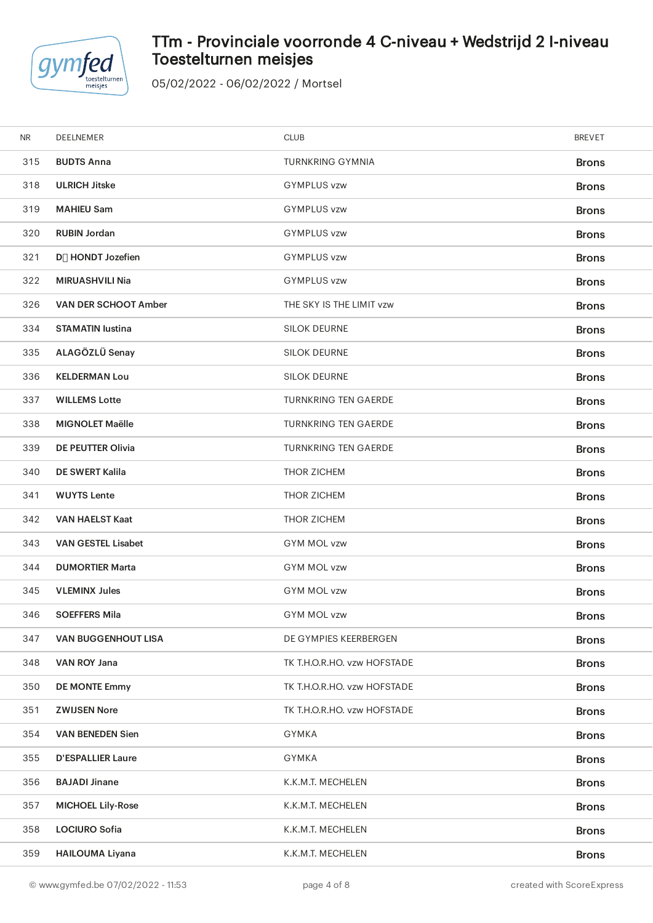

# TTm - Provinciale voorronde 4 C-niveau + Wedstrijd 2 I-niveau Toestelturnen meisjes

| <b>NR</b> | DEELNEMER                      | <b>CLUB</b>                 | <b>BREVET</b> |
|-----------|--------------------------------|-----------------------------|---------------|
| 315       | <b>BUDTS Anna</b>              | <b>TURNKRING GYMNIA</b>     | <b>Brons</b>  |
| 318       | <b>ULRICH Jitske</b>           | <b>GYMPLUS vzw</b>          | <b>Brons</b>  |
| 319       | <b>MAHIEU Sam</b>              | <b>GYMPLUS vzw</b>          | <b>Brons</b>  |
| 320       | <b>RUBIN Jordan</b>            | <b>GYMPLUS vzw</b>          | <b>Brons</b>  |
| 321       | D <sub>[]</sub> HONDT Jozefien | <b>GYMPLUS vzw</b>          | <b>Brons</b>  |
| 322       | <b>MIRUASHVILI Nia</b>         | <b>GYMPLUS vzw</b>          | <b>Brons</b>  |
| 326       | <b>VAN DER SCHOOT Amber</b>    | THE SKY IS THE LIMIT vzw    | <b>Brons</b>  |
| 334       | <b>STAMATIN lustina</b>        | <b>SILOK DEURNE</b>         | <b>Brons</b>  |
| 335       | ALAGÖZLÜ Senay                 | <b>SILOK DEURNE</b>         | <b>Brons</b>  |
| 336       | <b>KELDERMAN Lou</b>           | <b>SILOK DEURNE</b>         | <b>Brons</b>  |
| 337       | <b>WILLEMS Lotte</b>           | <b>TURNKRING TEN GAERDE</b> | <b>Brons</b>  |
| 338       | <b>MIGNOLET Maëlle</b>         | <b>TURNKRING TEN GAERDE</b> | <b>Brons</b>  |
| 339       | <b>DE PEUTTER Olivia</b>       | <b>TURNKRING TEN GAERDE</b> | <b>Brons</b>  |
| 340       | <b>DE SWERT Kalila</b>         | <b>THOR ZICHEM</b>          | <b>Brons</b>  |
| 341       | <b>WUYTS Lente</b>             | <b>THOR ZICHEM</b>          | <b>Brons</b>  |
| 342       | <b>VAN HAELST Kaat</b>         | THOR ZICHEM                 | <b>Brons</b>  |
| 343       | <b>VAN GESTEL Lisabet</b>      | <b>GYM MOL vzw</b>          | <b>Brons</b>  |
| 344       | <b>DUMORTIER Marta</b>         | <b>GYM MOL vzw</b>          | <b>Brons</b>  |
| 345       | <b>VLEMINX Jules</b>           | <b>GYM MOL vzw</b>          | <b>Brons</b>  |
| 346       | <b>SOEFFERS Mila</b>           | <b>GYM MOL vzw</b>          | <b>Brons</b>  |
| 347       | <b>VAN BUGGENHOUT LISA</b>     | DE GYMPIES KEERBERGEN       | <b>Brons</b>  |
| 348       | VAN ROY Jana                   | TK T.H.O.R.HO. vzw HOFSTADE | <b>Brons</b>  |
| 350       | <b>DE MONTE Emmy</b>           | TK T.H.O.R.HO. vzw HOFSTADE | <b>Brons</b>  |
| 351       | <b>ZWIJSEN Nore</b>            | TK T.H.O.R.HO. vzw HOFSTADE | <b>Brons</b>  |
| 354       | <b>VAN BENEDEN Sien</b>        | <b>GYMKA</b>                | <b>Brons</b>  |
| 355       | <b>D'ESPALLIER Laure</b>       | GYMKA                       | <b>Brons</b>  |
| 356       | <b>BAJADI Jinane</b>           | K.K.M.T. MECHELEN           | <b>Brons</b>  |
| 357       | <b>MICHOEL Lily-Rose</b>       | K.K.M.T. MECHELEN           | <b>Brons</b>  |
| 358       | <b>LOCIURO Sofia</b>           | K.K.M.T. MECHELEN           | <b>Brons</b>  |
| 359       | <b>HAILOUMA Liyana</b>         | K.K.M.T. MECHELEN           | <b>Brons</b>  |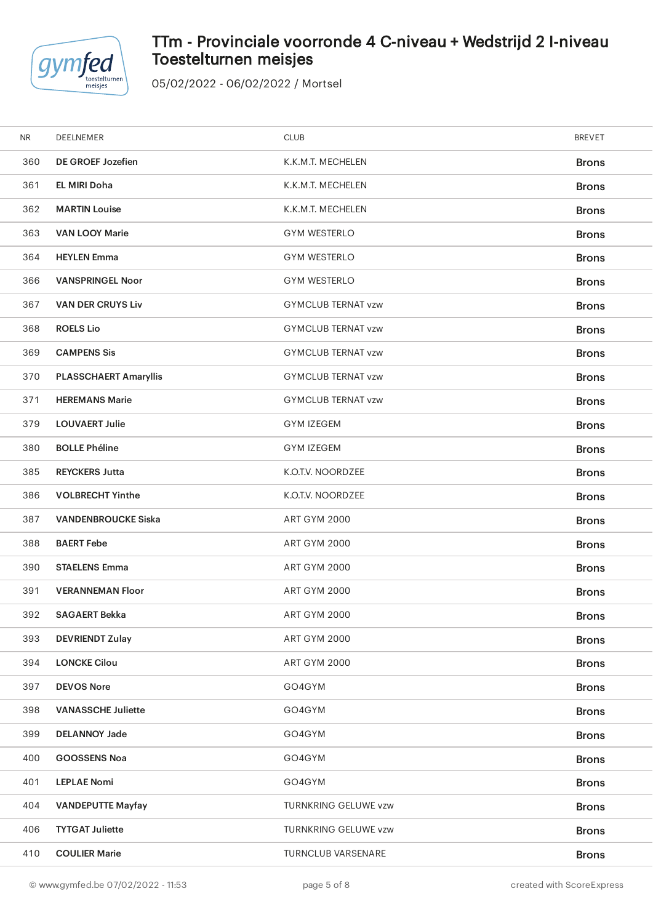

# TTm - Provinciale voorronde 4 C-niveau + Wedstrijd 2 I-niveau Toestelturnen meisjes

| <b>NR</b> | DEELNEMER                    | <b>CLUB</b>                 | <b>BREVET</b> |
|-----------|------------------------------|-----------------------------|---------------|
| 360       | <b>DE GROEF Jozefien</b>     | K.K.M.T. MECHELEN           | <b>Brons</b>  |
| 361       | <b>EL MIRI Doha</b>          | K.K.M.T. MECHELEN           | <b>Brons</b>  |
| 362       | <b>MARTIN Louise</b>         | K.K.M.T. MECHELEN           | <b>Brons</b>  |
| 363       | <b>VAN LOOY Marie</b>        | <b>GYM WESTERLO</b>         | <b>Brons</b>  |
| 364       | <b>HEYLEN Emma</b>           | <b>GYM WESTERLO</b>         | <b>Brons</b>  |
| 366       | <b>VANSPRINGEL Noor</b>      | <b>GYM WESTERLO</b>         | <b>Brons</b>  |
| 367       | <b>VAN DER CRUYS Liv</b>     | <b>GYMCLUB TERNAT vzw</b>   | <b>Brons</b>  |
| 368       | <b>ROELS Lio</b>             | <b>GYMCLUB TERNAT vzw</b>   | <b>Brons</b>  |
| 369       | <b>CAMPENS Sis</b>           | <b>GYMCLUB TERNAT vzw</b>   | <b>Brons</b>  |
| 370       | <b>PLASSCHAERT Amaryllis</b> | <b>GYMCLUB TERNAT vzw</b>   | <b>Brons</b>  |
| 371       | <b>HEREMANS Marie</b>        | <b>GYMCLUB TERNAT vzw</b>   | <b>Brons</b>  |
| 379       | <b>LOUVAERT Julie</b>        | <b>GYM IZEGEM</b>           | <b>Brons</b>  |
| 380       | <b>BOLLE Phéline</b>         | <b>GYM IZEGEM</b>           | <b>Brons</b>  |
| 385       | <b>REYCKERS Jutta</b>        | K.O.T.V. NOORDZEE           | <b>Brons</b>  |
| 386       | <b>VOLBRECHT Yinthe</b>      | K.O.T.V. NOORDZEE           | <b>Brons</b>  |
| 387       | <b>VANDENBROUCKE Siska</b>   | <b>ART GYM 2000</b>         | <b>Brons</b>  |
| 388       | <b>BAERT Febe</b>            | <b>ART GYM 2000</b>         | <b>Brons</b>  |
| 390       | <b>STAELENS Emma</b>         | <b>ART GYM 2000</b>         | <b>Brons</b>  |
| 391       | <b>VERANNEMAN Floor</b>      | <b>ART GYM 2000</b>         | <b>Brons</b>  |
| 392       | <b>SAGAERT Bekka</b>         | <b>ART GYM 2000</b>         | <b>Brons</b>  |
| 393       | <b>DEVRIENDT Zulay</b>       | <b>ART GYM 2000</b>         | <b>Brons</b>  |
| 394       | <b>LONCKE Cilou</b>          | <b>ART GYM 2000</b>         | <b>Brons</b>  |
| 397       | <b>DEVOS Nore</b>            | GO4GYM                      | <b>Brons</b>  |
| 398       | <b>VANASSCHE Juliette</b>    | GO4GYM                      | <b>Brons</b>  |
| 399       | <b>DELANNOY Jade</b>         | GO4GYM                      | <b>Brons</b>  |
| 400       | <b>GOOSSENS Noa</b>          | GO4GYM                      | <b>Brons</b>  |
| 401       | <b>LEPLAE Nomi</b>           | GO4GYM                      | <b>Brons</b>  |
| 404       | <b>VANDEPUTTE Mayfay</b>     | <b>TURNKRING GELUWE vzw</b> | <b>Brons</b>  |
| 406       | <b>TYTGAT Juliette</b>       | TURNKRING GELUWE vzw        | <b>Brons</b>  |
| 410       | <b>COULIER Marie</b>         | TURNCLUB VARSENARE          | <b>Brons</b>  |
|           |                              |                             |               |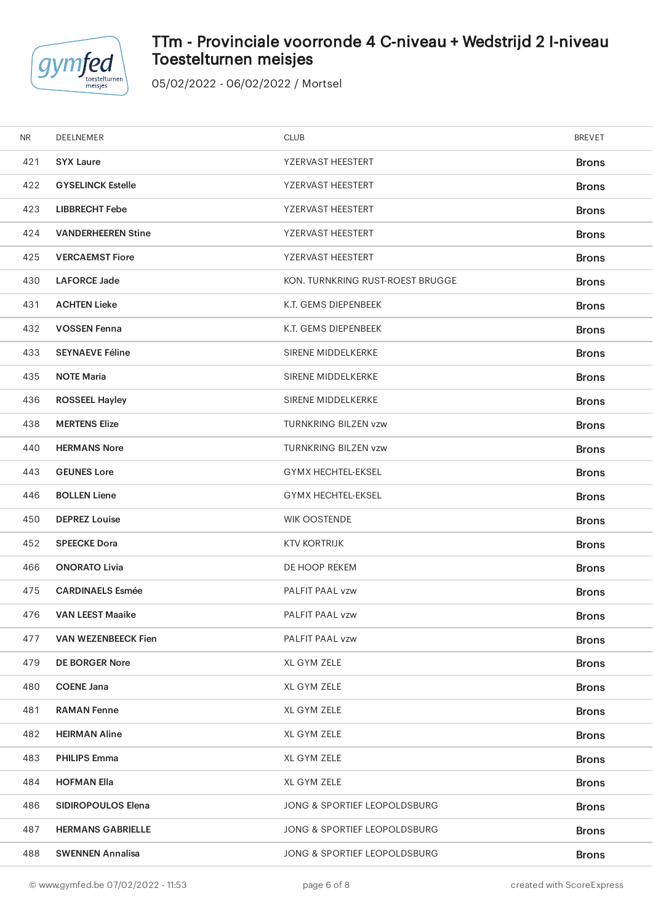

# TTm - Provinciale voorronde 4 C-niveau + Wedstrijd 2 I-niveau Toestelturnen meisjes

| <b>NR</b> | DEELNEMER                  | <b>CLUB</b>                      | <b>BREVET</b> |
|-----------|----------------------------|----------------------------------|---------------|
| 421       | <b>SYX Laure</b>           | YZERVAST HEESTERT                | <b>Brons</b>  |
| 422       | <b>GYSELINCK Estelle</b>   | YZERVAST HEESTERT                | <b>Brons</b>  |
| 423       | <b>LIBBRECHT Febe</b>      | YZERVAST HEESTERT                | <b>Brons</b>  |
| 424       | <b>VANDERHEEREN Stine</b>  | YZERVAST HEESTERT                | <b>Brons</b>  |
| 425       | <b>VERCAEMST Fiore</b>     | YZERVAST HEESTERT                | <b>Brons</b>  |
| 430       | <b>LAFORCE Jade</b>        | KON. TURNKRING RUST-ROEST BRUGGE | <b>Brons</b>  |
| 431       | <b>ACHTEN Lieke</b>        | K.T. GEMS DIEPENBEEK             | <b>Brons</b>  |
| 432       | <b>VOSSEN Fenna</b>        | K.T. GEMS DIEPENBEEK             | <b>Brons</b>  |
| 433       | <b>SEYNAEVE Féline</b>     | SIRENE MIDDELKERKE               | <b>Brons</b>  |
| 435       | <b>NOTE Maria</b>          | <b>SIRENE MIDDELKERKE</b>        | <b>Brons</b>  |
| 436       | <b>ROSSEEL Hayley</b>      | SIRENE MIDDELKERKE               | <b>Brons</b>  |
| 438       | <b>MERTENS Elize</b>       | TURNKRING BILZEN vzw             | <b>Brons</b>  |
| 440       | <b>HERMANS Nore</b>        | <b>TURNKRING BILZEN vzw</b>      | <b>Brons</b>  |
| 443       | <b>GEUNES Lore</b>         | <b>GYMX HECHTEL-EKSEL</b>        | <b>Brons</b>  |
| 446       | <b>BOLLEN Liene</b>        | <b>GYMX HECHTEL-EKSEL</b>        | <b>Brons</b>  |
| 450       | <b>DEPREZ Louise</b>       | <b>WIK OOSTENDE</b>              | <b>Brons</b>  |
| 452       | <b>SPEECKE Dora</b>        | <b>KTV KORTRIJK</b>              | <b>Brons</b>  |
| 466       | <b>ONORATO Livia</b>       | DE HOOP REKEM                    | <b>Brons</b>  |
| 475       | <b>CARDINAELS Esmée</b>    | PALFIT PAAL vzw                  | <b>Brons</b>  |
| 476       | <b>VAN LEEST Maaike</b>    | PALFIT PAAL vzw                  | <b>Brons</b>  |
| 477       | <b>VAN WEZENBEECK Fien</b> | PALFIT PAAL vzw                  | <b>Brons</b>  |
| 479       | <b>DE BORGER Nore</b>      | XL GYM ZELE                      | <b>Brons</b>  |
| 480       | <b>COENE Jana</b>          | XL GYM ZELE                      | <b>Brons</b>  |
| 481       | <b>RAMAN Fenne</b>         | XL GYM ZELE                      | <b>Brons</b>  |
| 482       | <b>HEIRMAN Aline</b>       | XL GYM ZELE                      | <b>Brons</b>  |
| 483       | <b>PHILIPS Emma</b>        | XL GYM ZELE                      | <b>Brons</b>  |
| 484       | <b>HOFMAN Ella</b>         | XL GYM ZELE                      | <b>Brons</b>  |
| 486       | <b>SIDIROPOULOS Elena</b>  | JONG & SPORTIEF LEOPOLDSBURG     | <b>Brons</b>  |
| 487       | <b>HERMANS GABRIELLE</b>   | JONG & SPORTIEF LEOPOLDSBURG     | <b>Brons</b>  |
| 488       | <b>SWENNEN Annalisa</b>    | JONG & SPORTIEF LEOPOLDSBURG     | <b>Brons</b>  |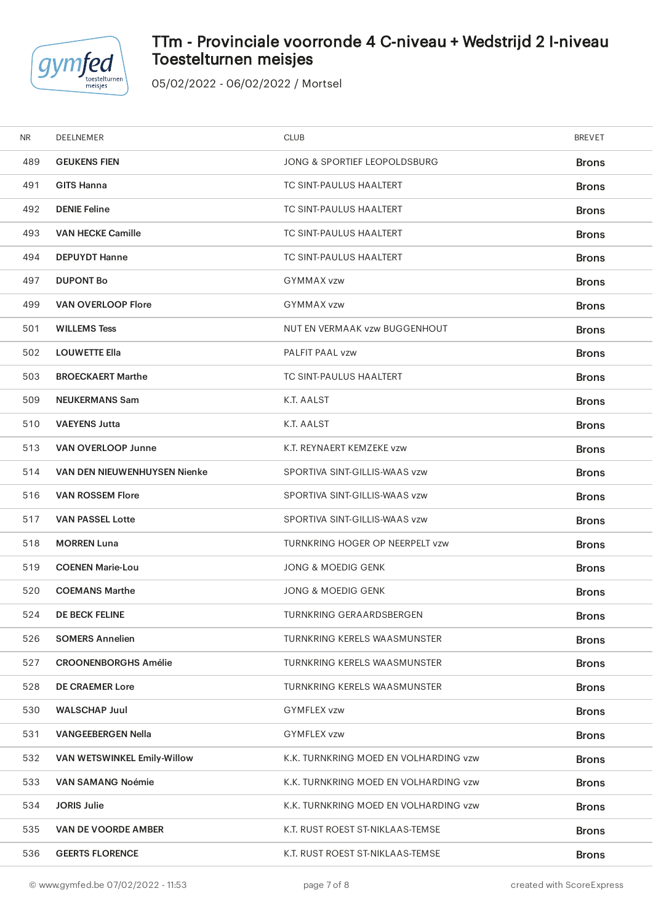

# TTm - Provinciale voorronde 4 C-niveau + Wedstrijd 2 I-niveau Toestelturnen meisjes

| NR. | DEELNEMER                           | <b>CLUB</b>                           | <b>BREVET</b> |
|-----|-------------------------------------|---------------------------------------|---------------|
| 489 | <b>GEUKENS FIEN</b>                 | JONG & SPORTIEF LEOPOLDSBURG          | <b>Brons</b>  |
| 491 | <b>GITS Hanna</b>                   | TC SINT-PAULUS HAALTERT               | <b>Brons</b>  |
| 492 | <b>DENIE Feline</b>                 | TC SINT-PAULUS HAALTERT               | <b>Brons</b>  |
| 493 | <b>VAN HECKE Camille</b>            | TC SINT-PAULUS HAALTERT               | <b>Brons</b>  |
| 494 | <b>DEPUYDT Hanne</b>                | TC SINT-PAULUS HAALTERT               | <b>Brons</b>  |
| 497 | <b>DUPONT Bo</b>                    | <b>GYMMAX vzw</b>                     | <b>Brons</b>  |
| 499 | <b>VAN OVERLOOP Flore</b>           | GYMMAX vzw                            | <b>Brons</b>  |
| 501 | <b>WILLEMS Tess</b>                 | NUT EN VERMAAK vzw BUGGENHOUT         | <b>Brons</b>  |
| 502 | <b>LOUWETTE Ella</b>                | PALFIT PAAL vzw                       | <b>Brons</b>  |
| 503 | <b>BROECKAERT Marthe</b>            | TC SINT-PAULUS HAALTERT               | <b>Brons</b>  |
| 509 | <b>NEUKERMANS Sam</b>               | K.T. AALST                            | <b>Brons</b>  |
| 510 | <b>VAEYENS Jutta</b>                | K.T. AALST                            | <b>Brons</b>  |
| 513 | <b>VAN OVERLOOP Junne</b>           | K.T. REYNAERT KEMZEKE vzw             | <b>Brons</b>  |
| 514 | <b>VAN DEN NIEUWENHUYSEN Nienke</b> | SPORTIVA SINT-GILLIS-WAAS vzw         | <b>Brons</b>  |
| 516 | <b>VAN ROSSEM Flore</b>             | SPORTIVA SINT-GILLIS-WAAS vzw         | <b>Brons</b>  |
| 517 | <b>VAN PASSEL Lotte</b>             | SPORTIVA SINT-GILLIS-WAAS vzw         | <b>Brons</b>  |
| 518 | <b>MORREN Luna</b>                  | TURNKRING HOGER OP NEERPELT vzw       | <b>Brons</b>  |
| 519 | <b>COENEN Marie-Lou</b>             | JONG & MOEDIG GENK                    | <b>Brons</b>  |
| 520 | <b>COEMANS Marthe</b>               | <b>JONG &amp; MOEDIG GENK</b>         | <b>Brons</b>  |
| 524 | <b>DE BECK FELINE</b>               | TURNKRING GERAARDSBERGEN              | <b>Brons</b>  |
| 526 | <b>SOMERS Annelien</b>              | TURNKRING KERELS WAASMUNSTER          | <b>Brons</b>  |
| 527 | <b>CROONENBORGHS Amélie</b>         | TURNKRING KERELS WAASMUNSTER          | <b>Brons</b>  |
| 528 | <b>DE CRAEMER Lore</b>              | TURNKRING KERELS WAASMUNSTER          | <b>Brons</b>  |
| 530 | <b>WALSCHAP Juul</b>                | <b>GYMFLEX vzw</b>                    | <b>Brons</b>  |
| 531 | <b>VANGEEBERGEN Nella</b>           | <b>GYMFLEX vzw</b>                    | <b>Brons</b>  |
| 532 | VAN WETSWINKEL Emily-Willow         | K.K. TURNKRING MOED EN VOLHARDING vzw | <b>Brons</b>  |
| 533 | <b>VAN SAMANG Noémie</b>            | K.K. TURNKRING MOED EN VOLHARDING vzw | <b>Brons</b>  |
| 534 | <b>JORIS Julie</b>                  | K.K. TURNKRING MOED EN VOLHARDING vzw | <b>Brons</b>  |
| 535 | VAN DE VOORDE AMBER                 | K.T. RUST ROEST ST-NIKLAAS-TEMSE      | <b>Brons</b>  |
| 536 | <b>GEERTS FLORENCE</b>              | K.T. RUST ROEST ST-NIKLAAS-TEMSE      | <b>Brons</b>  |